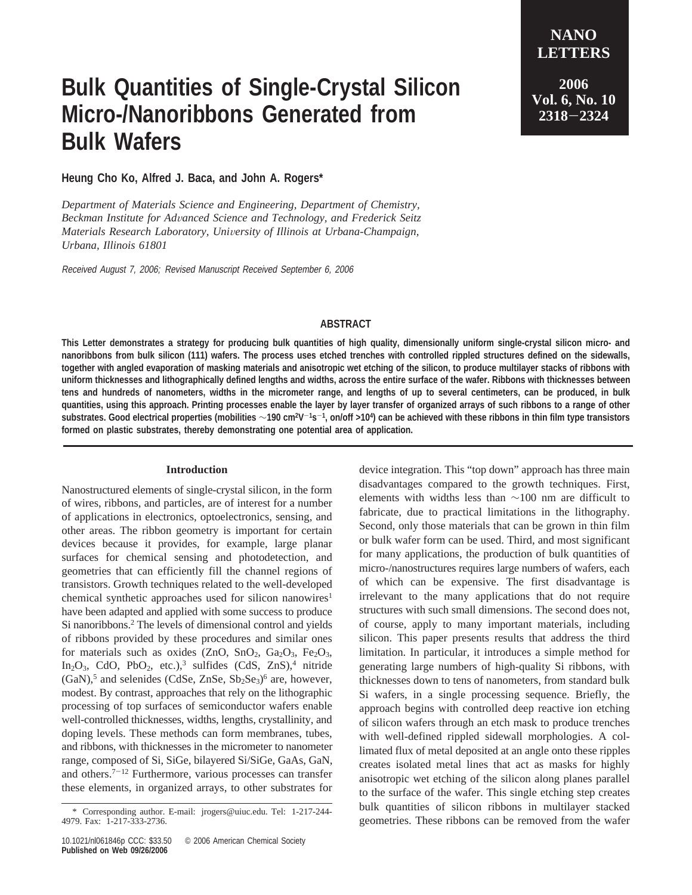## **Bulk Quantities of Single-Crystal Silicon Micro-/Nanoribbons Generated from Bulk Wafers**

**LETTERS 2006 Vol. 6, No. 10 <sup>2318</sup>**-**<sup>2324</sup>**

**NANO**

**Heung Cho Ko, Alfred J. Baca, and John A. Rogers\***

*Department of Materials Science and Engineering, Department of Chemistry, Beckman Institute for Ad*V*anced Science and Technology, and Frederick Seitz Materials Research Laboratory, University of Illinois at Urbana-Champaign, Urbana, Illinois 61801*

Received August 7, 2006; Revised Manuscript Received September 6, 2006

## **ABSTRACT**

**This Letter demonstrates a strategy for producing bulk quantities of high quality, dimensionally uniform single-crystal silicon micro- and nanoribbons from bulk silicon (111) wafers. The process uses etched trenches with controlled rippled structures defined on the sidewalls, together with angled evaporation of masking materials and anisotropic wet etching of the silicon, to produce multilayer stacks of ribbons with uniform thicknesses and lithographically defined lengths and widths, across the entire surface of the wafer. Ribbons with thicknesses between tens and hundreds of nanometers, widths in the micrometer range, and lengths of up to several centimeters, can be produced, in bulk quantities, using this approach. Printing processes enable the layer by layer transfer of organized arrays of such ribbons to a range of other substrates. Good electrical properties (mobilities** ∼**190 cm2V**-**1s**-**1, on/off >104) can be achieved with these ribbons in thin film type transistors formed on plastic substrates, thereby demonstrating one potential area of application.**

## **Introduction**

Nanostructured elements of single-crystal silicon, in the form of wires, ribbons, and particles, are of interest for a number of applications in electronics, optoelectronics, sensing, and other areas. The ribbon geometry is important for certain devices because it provides, for example, large planar surfaces for chemical sensing and photodetection, and geometries that can efficiently fill the channel regions of transistors. Growth techniques related to the well-developed chemical synthetic approaches used for silicon nanowires<sup>1</sup> have been adapted and applied with some success to produce Si nanoribbons.<sup>2</sup> The levels of dimensional control and yields of ribbons provided by these procedures and similar ones for materials such as oxides (ZnO, SnO<sub>2</sub>, Ga<sub>2</sub>O<sub>3</sub>, Fe<sub>2</sub>O<sub>3</sub>, In<sub>2</sub>O<sub>3</sub>, CdO, PbO<sub>2</sub>, etc.),<sup>3</sup> sulfides (CdS, ZnS),<sup>4</sup> nitride  $(GaN)$ ,<sup>5</sup> and selenides (CdSe, ZnSe, Sb<sub>2</sub>Se<sub>3</sub>)<sup>6</sup> are, however, modest. By contrast, approaches that rely on the lithographic processing of top surfaces of semiconductor wafers enable well-controlled thicknesses, widths, lengths, crystallinity, and doping levels. These methods can form membranes, tubes, and ribbons, with thicknesses in the micrometer to nanometer range, composed of Si, SiGe, bilayered Si/SiGe, GaAs, GaN, and others.<sup> $7-12$ </sup> Furthermore, various processes can transfer these elements, in organized arrays, to other substrates for

device integration. This "top down" approach has three main disadvantages compared to the growth techniques. First, elements with widths less than ∼100 nm are difficult to fabricate, due to practical limitations in the lithography. Second, only those materials that can be grown in thin film or bulk wafer form can be used. Third, and most significant for many applications, the production of bulk quantities of micro-/nanostructures requires large numbers of wafers, each of which can be expensive. The first disadvantage is irrelevant to the many applications that do not require structures with such small dimensions. The second does not, of course, apply to many important materials, including silicon. This paper presents results that address the third limitation. In particular, it introduces a simple method for generating large numbers of high-quality Si ribbons, with thicknesses down to tens of nanometers, from standard bulk Si wafers, in a single processing sequence. Briefly, the approach begins with controlled deep reactive ion etching of silicon wafers through an etch mask to produce trenches with well-defined rippled sidewall morphologies. A collimated flux of metal deposited at an angle onto these ripples creates isolated metal lines that act as masks for highly anisotropic wet etching of the silicon along planes parallel to the surface of the wafer. This single etching step creates bulk quantities of silicon ribbons in multilayer stacked geometries. These ribbons can be removed from the wafer \* Corresponding author. E-mail: jrogers@uiuc.edu. Tel: 1-217-244-

<sup>4979.</sup> Fax: 1-217-333-2736.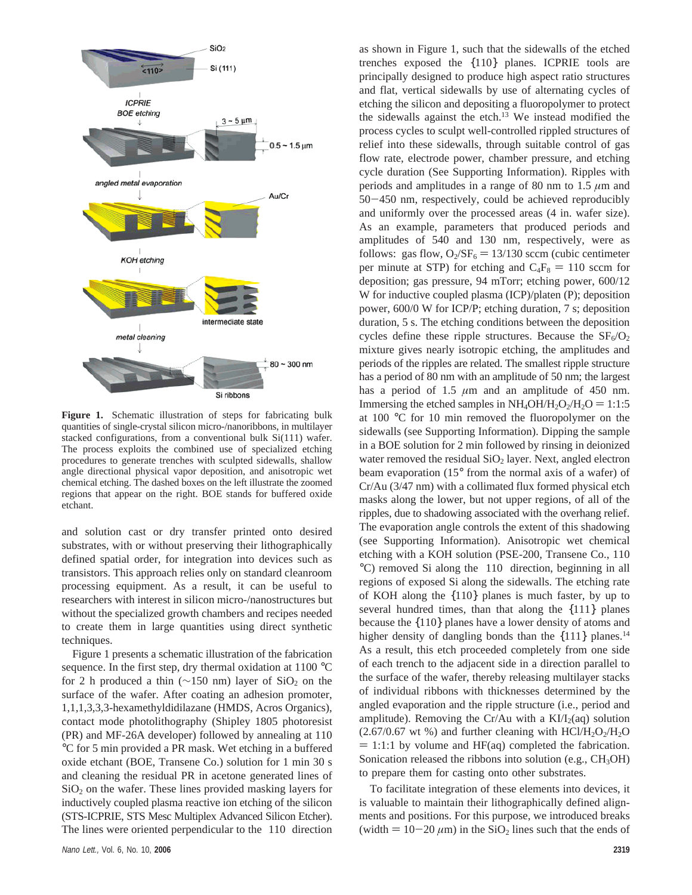

**Figure 1.** Schematic illustration of steps for fabricating bulk quantities of single-crystal silicon micro-/nanoribbons, in multilayer stacked configurations, from a conventional bulk Si(111) wafer. The process exploits the combined use of specialized etching procedures to generate trenches with sculpted sidewalls, shallow angle directional physical vapor deposition, and anisotropic wet chemical etching. The dashed boxes on the left illustrate the zoomed regions that appear on the right. BOE stands for buffered oxide etchant.

and solution cast or dry transfer printed onto desired substrates, with or without preserving their lithographically defined spatial order, for integration into devices such as transistors. This approach relies only on standard cleanroom processing equipment. As a result, it can be useful to researchers with interest in silicon micro-/nanostructures but without the specialized growth chambers and recipes needed to create them in large quantities using direct synthetic techniques.

Figure 1 presents a schematic illustration of the fabrication sequence. In the first step, dry thermal oxidation at 1100 °C for 2 h produced a thin ( $\sim$ 150 nm) layer of SiO<sub>2</sub> on the surface of the wafer. After coating an adhesion promoter, 1,1,1,3,3,3-hexamethyldidilazane (HMDS, Acros Organics), contact mode photolithography (Shipley 1805 photoresist (PR) and MF-26A developer) followed by annealing at 110 °C for 5 min provided a PR mask. Wet etching in a buffered oxide etchant (BOE, Transene Co.) solution for 1 min 30 s and cleaning the residual PR in acetone generated lines of  $SiO<sub>2</sub>$  on the wafer. These lines provided masking layers for inductively coupled plasma reactive ion etching of the silicon (STS-ICPRIE, STS Mesc Multiplex Advanced Silicon Etcher). The lines were oriented perpendicular to the 〈110〉 direction as shown in Figure 1, such that the sidewalls of the etched trenches exposed the {110} planes. ICPRIE tools are principally designed to produce high aspect ratio structures and flat, vertical sidewalls by use of alternating cycles of etching the silicon and depositing a fluoropolymer to protect the sidewalls against the etch. $13$  We instead modified the process cycles to sculpt well-controlled rippled structures of relief into these sidewalls, through suitable control of gas flow rate, electrode power, chamber pressure, and etching cycle duration (See Supporting Information). Ripples with periods and amplitudes in a range of 80 nm to 1.5 *µ*m and <sup>50</sup>-450 nm, respectively, could be achieved reproducibly and uniformly over the processed areas (4 in. wafer size). As an example, parameters that produced periods and amplitudes of 540 and 130 nm, respectively, were as follows: gas flow,  $O_2/SF_6 = 13/130$  sccm (cubic centimeter per minute at STP) for etching and  $C_4F_8 = 110$  sccm for deposition; gas pressure, 94 mTorr; etching power, 600/12 W for inductive coupled plasma (ICP)/platen (P); deposition power, 600/0 W for ICP/P; etching duration, 7 s; deposition duration, 5 s. The etching conditions between the deposition cycles define these ripple structures. Because the  $SF_6/O_2$ mixture gives nearly isotropic etching, the amplitudes and periods of the ripples are related. The smallest ripple structure has a period of 80 nm with an amplitude of 50 nm; the largest has a period of 1.5  $\mu$ m and an amplitude of 450 nm. Immersing the etched samples in  $NH_4OH/H_2O_2/H_2O = 1:1:5$ at 100 °C for 10 min removed the fluoropolymer on the sidewalls (see Supporting Information). Dipping the sample in a BOE solution for 2 min followed by rinsing in deionized water removed the residual  $SiO<sub>2</sub>$  layer. Next, angled electron beam evaporation (15° from the normal axis of a wafer) of Cr/Au (3/47 nm) with a collimated flux formed physical etch masks along the lower, but not upper regions, of all of the ripples, due to shadowing associated with the overhang relief. The evaporation angle controls the extent of this shadowing (see Supporting Information). Anisotropic wet chemical etching with a KOH solution (PSE-200, Transene Co., 110 °C) removed Si along the 〈110〉 direction, beginning in all regions of exposed Si along the sidewalls. The etching rate of KOH along the {110} planes is much faster, by up to several hundred times, than that along the {111} planes because the {110} planes have a lower density of atoms and higher density of dangling bonds than the  $\{111\}$  planes.<sup>14</sup> As a result, this etch proceeded completely from one side of each trench to the adjacent side in a direction parallel to the surface of the wafer, thereby releasing multilayer stacks of individual ribbons with thicknesses determined by the angled evaporation and the ripple structure (i.e., period and amplitude). Removing the Cr/Au with a  $K1/I_2(aq)$  solution  $(2.67/0.67 \text{ wt } %)$  and further cleaning with  $HC1/H<sub>2</sub>O<sub>2</sub>/H<sub>2</sub>O$  $= 1:1:1$  by volume and HF(aq) completed the fabrication. Sonication released the ribbons into solution (e.g.,  $CH<sub>3</sub>OH$ ) to prepare them for casting onto other substrates.

To facilitate integration of these elements into devices, it is valuable to maintain their lithographically defined alignments and positions. For this purpose, we introduced breaks (width  $= 10-20 \mu m$ ) in the SiO<sub>2</sub> lines such that the ends of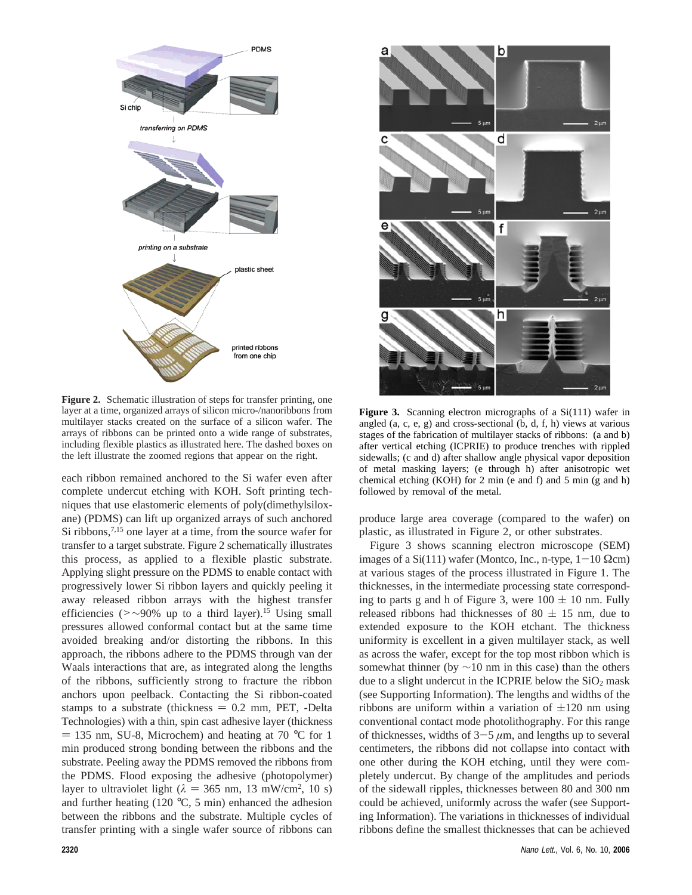

**Figure 2.** Schematic illustration of steps for transfer printing, one layer at a time, organized arrays of silicon micro-/nanoribbons from multilayer stacks created on the surface of a silicon wafer. The arrays of ribbons can be printed onto a wide range of substrates, including flexible plastics as illustrated here. The dashed boxes on the left illustrate the zoomed regions that appear on the right.

each ribbon remained anchored to the Si wafer even after complete undercut etching with KOH. Soft printing techniques that use elastomeric elements of poly(dimethylsiloxane) (PDMS) can lift up organized arrays of such anchored Si ribbons,<sup>7,15</sup> one layer at a time, from the source wafer for transfer to a target substrate. Figure 2 schematically illustrates this process, as applied to a flexible plastic substrate. Applying slight pressure on the PDMS to enable contact with progressively lower Si ribbon layers and quickly peeling it away released ribbon arrays with the highest transfer efficiencies (>∼90% up to a third layer).<sup>15</sup> Using small pressures allowed conformal contact but at the same time avoided breaking and/or distorting the ribbons. In this approach, the ribbons adhere to the PDMS through van der Waals interactions that are, as integrated along the lengths of the ribbons, sufficiently strong to fracture the ribbon anchors upon peelback. Contacting the Si ribbon-coated stamps to a substrate (thickness  $= 0.2$  mm, PET, -Delta Technologies) with a thin, spin cast adhesive layer (thickness  $=$  135 nm, SU-8, Microchem) and heating at 70 °C for 1 min produced strong bonding between the ribbons and the substrate. Peeling away the PDMS removed the ribbons from the PDMS. Flood exposing the adhesive (photopolymer) layer to ultraviolet light  $(\lambda = 365 \text{ nm}, 13 \text{ mW/cm}^2, 10 \text{ s})$ <br>and further heating (120 °C, 5 min) enhanced the adhesion and further heating (120  $\degree$ C, 5 min) enhanced the adhesion between the ribbons and the substrate. Multiple cycles of transfer printing with a single wafer source of ribbons can



Figure 3. Scanning electron micrographs of a Si(111) wafer in angled (a, c, e, g) and cross-sectional (b, d, f, h) views at various stages of the fabrication of multilayer stacks of ribbons: (a and b) after vertical etching (ICPRIE) to produce trenches with rippled sidewalls; (c and d) after shallow angle physical vapor deposition of metal masking layers; (e through h) after anisotropic wet chemical etching (KOH) for 2 min (e and f) and 5 min (g and h) followed by removal of the metal.

produce large area coverage (compared to the wafer) on plastic, as illustrated in Figure 2, or other substrates.

Figure 3 shows scanning electron microscope (SEM) images of a Si(111) wafer (Montco, Inc., n-type,  $1-10 \Omega$ cm) at various stages of the process illustrated in Figure 1. The thicknesses, in the intermediate processing state corresponding to parts g and h of Figure 3, were  $100 \pm 10$  nm. Fully released ribbons had thicknesses of 80  $\pm$  15 nm, due to extended exposure to the KOH etchant. The thickness uniformity is excellent in a given multilayer stack, as well as across the wafer, except for the top most ribbon which is somewhat thinner (by  $\sim$ 10 nm in this case) than the others due to a slight undercut in the ICPRIE below the  $SiO<sub>2</sub>$  mask (see Supporting Information). The lengths and widths of the ribbons are uniform within a variation of  $\pm 120$  nm using conventional contact mode photolithography. For this range of thicknesses, widths of  $3-5 \mu m$ , and lengths up to several centimeters, the ribbons did not collapse into contact with one other during the KOH etching, until they were completely undercut. By change of the amplitudes and periods of the sidewall ripples, thicknesses between 80 and 300 nm could be achieved, uniformly across the wafer (see Supporting Information). The variations in thicknesses of individual ribbons define the smallest thicknesses that can be achieved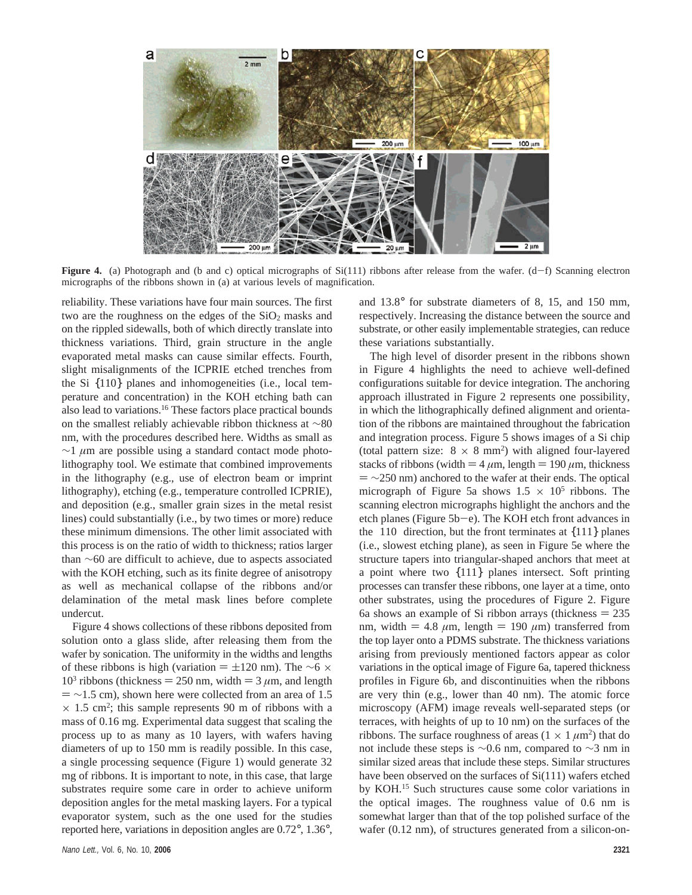

**Figure 4.** (a) Photograph and (b and c) optical micrographs of  $Si(111)$  ribbons after release from the wafer.  $(d-f)$  Scanning electron micrographs of the ribbons shown in (a) at various levels of magnification.

reliability. These variations have four main sources. The first two are the roughness on the edges of the  $SiO<sub>2</sub>$  masks and on the rippled sidewalls, both of which directly translate into thickness variations. Third, grain structure in the angle evaporated metal masks can cause similar effects. Fourth, slight misalignments of the ICPRIE etched trenches from the Si {110} planes and inhomogeneities (i.e., local temperature and concentration) in the KOH etching bath can also lead to variations.16 These factors place practical bounds on the smallest reliably achievable ribbon thickness at ∼80 nm, with the procedures described here. Widths as small as ∼1 *µ*m are possible using a standard contact mode photolithography tool. We estimate that combined improvements in the lithography (e.g., use of electron beam or imprint lithography), etching (e.g., temperature controlled ICPRIE), and deposition (e.g., smaller grain sizes in the metal resist lines) could substantially (i.e., by two times or more) reduce these minimum dimensions. The other limit associated with this process is on the ratio of width to thickness; ratios larger than ∼60 are difficult to achieve, due to aspects associated with the KOH etching, such as its finite degree of anisotropy as well as mechanical collapse of the ribbons and/or delamination of the metal mask lines before complete undercut.

Figure 4 shows collections of these ribbons deposited from solution onto a glass slide, after releasing them from the wafer by sonication. The uniformity in the widths and lengths of these ribbons is high (variation  $= \pm 120$  nm). The ∼6 × 10<sup>3</sup> ribbons (thickness = 250 nm, width = 3  $\mu$ m, and length  $=$  ~1.5 cm), shown here were collected from an area of 1.5  $\times$  1.5 cm<sup>2</sup>; this sample represents 90 m of ribbons with a mass of 0.16 mg. Experimental data suggest that scaling the process up to as many as 10 layers, with wafers having diameters of up to 150 mm is readily possible. In this case, a single processing sequence (Figure 1) would generate 32 mg of ribbons. It is important to note, in this case, that large substrates require some care in order to achieve uniform deposition angles for the metal masking layers. For a typical evaporator system, such as the one used for the studies reported here, variations in deposition angles are 0.72°, 1.36°, and 13.8° for substrate diameters of 8, 15, and 150 mm, respectively. Increasing the distance between the source and substrate, or other easily implementable strategies, can reduce these variations substantially.

The high level of disorder present in the ribbons shown in Figure 4 highlights the need to achieve well-defined configurations suitable for device integration. The anchoring approach illustrated in Figure 2 represents one possibility, in which the lithographically defined alignment and orientation of the ribbons are maintained throughout the fabrication and integration process. Figure 5 shows images of a Si chip (total pattern size:  $8 \times 8$  mm<sup>2</sup>) with aligned four-layered stacks of ribbons (width  $= 4 \mu m$ , length  $= 190 \mu m$ , thickness  $=$   $\sim$ 250 nm) anchored to the wafer at their ends. The optical micrograph of Figure 5a shows  $1.5 \times 10^5$  ribbons. The scanning electron micrographs highlight the anchors and the etch planes (Figure 5b-e). The KOH etch front advances in the  $\langle 110 \rangle$  direction, but the front terminates at  $\{111\}$  planes (i.e., slowest etching plane), as seen in Figure 5e where the structure tapers into triangular-shaped anchors that meet at a point where two {111} planes intersect. Soft printing processes can transfer these ribbons, one layer at a time, onto other substrates, using the procedures of Figure 2. Figure 6a shows an example of Si ribbon arrays (thickness  $= 235$ nm, width  $= 4.8 \mu m$ , length  $= 190 \mu m$ ) transferred from the top layer onto a PDMS substrate. The thickness variations arising from previously mentioned factors appear as color variations in the optical image of Figure 6a, tapered thickness profiles in Figure 6b, and discontinuities when the ribbons are very thin (e.g., lower than 40 nm). The atomic force microscopy (AFM) image reveals well-separated steps (or terraces, with heights of up to 10 nm) on the surfaces of the ribbons. The surface roughness of areas  $(1 \times 1 \mu m^2)$  that do not include these steps is ∼0.6 nm, compared to ∼3 nm in similar sized areas that include these steps. Similar structures have been observed on the surfaces of Si(111) wafers etched by KOH.15 Such structures cause some color variations in the optical images. The roughness value of 0.6 nm is somewhat larger than that of the top polished surface of the wafer (0.12 nm), of structures generated from a silicon-on-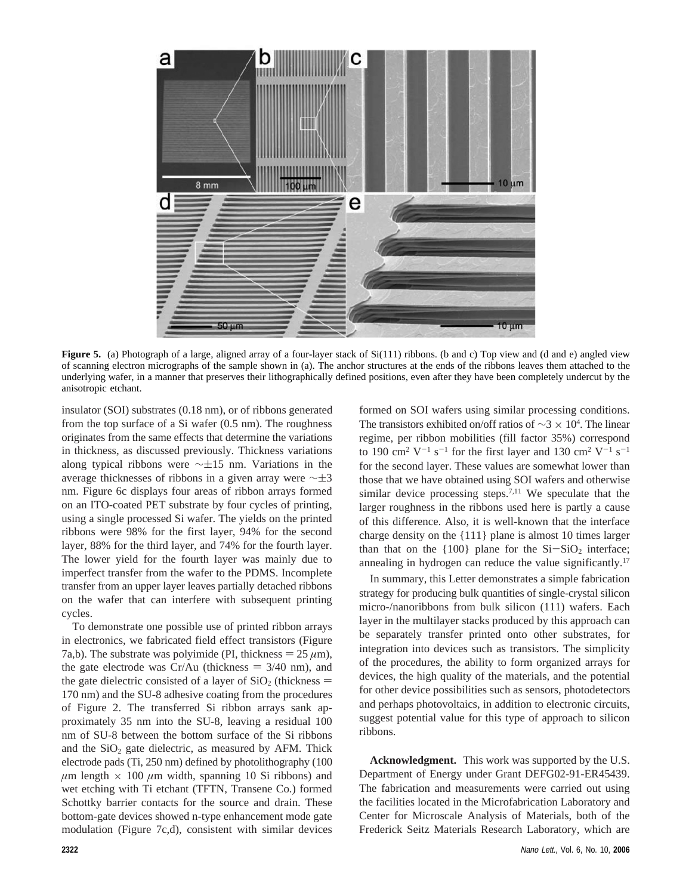

**Figure 5.** (a) Photograph of a large, aligned array of a four-layer stack of Si(111) ribbons. (b and c) Top view and (d and e) angled view of scanning electron micrographs of the sample shown in (a). The anchor structures at the ends of the ribbons leaves them attached to the underlying wafer, in a manner that preserves their lithographically defined positions, even after they have been completely undercut by the anisotropic etchant.

insulator (SOI) substrates (0.18 nm), or of ribbons generated from the top surface of a Si wafer (0.5 nm). The roughness originates from the same effects that determine the variations in thickness, as discussed previously. Thickness variations along typical ribbons were  $\sim \pm 15$  nm. Variations in the average thicknesses of ribbons in a given array were  $\sim\pm3$ nm. Figure 6c displays four areas of ribbon arrays formed on an ITO-coated PET substrate by four cycles of printing, using a single processed Si wafer. The yields on the printed ribbons were 98% for the first layer, 94% for the second layer, 88% for the third layer, and 74% for the fourth layer. The lower yield for the fourth layer was mainly due to imperfect transfer from the wafer to the PDMS. Incomplete transfer from an upper layer leaves partially detached ribbons on the wafer that can interfere with subsequent printing cycles.

To demonstrate one possible use of printed ribbon arrays in electronics, we fabricated field effect transistors (Figure 7a,b). The substrate was polyimide (PI, thickness  $= 25 \mu m$ ), the gate electrode was  $Cr/Au$  (thickness  $= 3/40$  nm), and the gate dielectric consisted of a layer of  $SiO<sub>2</sub>$  (thickness = 170 nm) and the SU-8 adhesive coating from the procedures of Figure 2. The transferred Si ribbon arrays sank approximately 35 nm into the SU-8, leaving a residual 100 nm of SU-8 between the bottom surface of the Si ribbons and the  $SiO<sub>2</sub>$  gate dielectric, as measured by AFM. Thick electrode pads (Ti, 250 nm) defined by photolithography (100  $\mu$ m length  $\times$  100  $\mu$ m width, spanning 10 Si ribbons) and wet etching with Ti etchant (TFTN, Transene Co.) formed Schottky barrier contacts for the source and drain. These bottom-gate devices showed n-type enhancement mode gate modulation (Figure 7c,d), consistent with similar devices formed on SOI wafers using similar processing conditions. The transistors exhibited on/off ratios of  $\sim$ 3 × 10<sup>4</sup>. The linear regime, per ribbon mobilities (fill factor 35%) correspond to 190 cm<sup>2</sup> V<sup>-1</sup> s<sup>-1</sup> for the first layer and 130 cm<sup>2</sup> V<sup>-1</sup> s<sup>-1</sup> for the second layer. These values are somewhat lower than those that we have obtained using SOI wafers and otherwise similar device processing steps.<sup>7,11</sup> We speculate that the larger roughness in the ribbons used here is partly a cause of this difference. Also, it is well-known that the interface charge density on the {111} plane is almost 10 times larger than that on the  ${100}$  plane for the  $Si-SiO<sub>2</sub>$  interface; annealing in hydrogen can reduce the value significantly.<sup>17</sup>

In summary, this Letter demonstrates a simple fabrication strategy for producing bulk quantities of single-crystal silicon micro-/nanoribbons from bulk silicon (111) wafers. Each layer in the multilayer stacks produced by this approach can be separately transfer printed onto other substrates, for integration into devices such as transistors. The simplicity of the procedures, the ability to form organized arrays for devices, the high quality of the materials, and the potential for other device possibilities such as sensors, photodetectors and perhaps photovoltaics, in addition to electronic circuits, suggest potential value for this type of approach to silicon ribbons.

**Acknowledgment.** This work was supported by the U.S. Department of Energy under Grant DEFG02-91-ER45439. The fabrication and measurements were carried out using the facilities located in the Microfabrication Laboratory and Center for Microscale Analysis of Materials, both of the Frederick Seitz Materials Research Laboratory, which are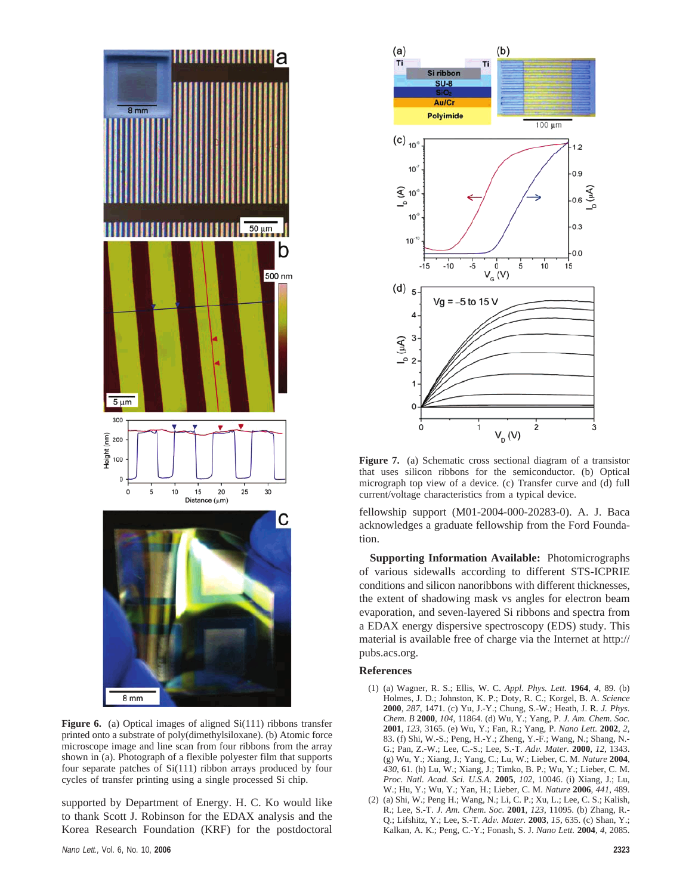

**Figure 6.** (a) Optical images of aligned Si(111) ribbons transfer printed onto a substrate of poly(dimethylsiloxane). (b) Atomic force microscope image and line scan from four ribbons from the array shown in (a). Photograph of a flexible polyester film that supports four separate patches of Si(111) ribbon arrays produced by four cycles of transfer printing using a single processed Si chip.

supported by Department of Energy. H. C. Ko would like to thank Scott J. Robinson for the EDAX analysis and the Korea Research Foundation (KRF) for the postdoctoral



**Figure 7.** (a) Schematic cross sectional diagram of a transistor that uses silicon ribbons for the semiconductor. (b) Optical micrograph top view of a device. (c) Transfer curve and (d) full current/voltage characteristics from a typical device.

fellowship support (M01-2004-000-20283-0). A. J. Baca acknowledges a graduate fellowship from the Ford Foundation.

**Supporting Information Available:** Photomicrographs of various sidewalls according to different STS-ICPRIE conditions and silicon nanoribbons with different thicknesses, the extent of shadowing mask vs angles for electron beam evaporation, and seven-layered Si ribbons and spectra from a EDAX energy dispersive spectroscopy (EDS) study. This material is available free of charge via the Internet at http:// pubs.acs.org.

## **References**

- (1) (a) Wagner, R. S.; Ellis, W. C. *Appl. Phys. Lett.* **1964**, *4*, 89. (b) Holmes, J. D.; Johnston, K. P.; Doty, R. C.; Korgel, B. A. *Science* **2000**, *287*, 1471. (c) Yu, J.-Y.; Chung, S.-W.; Heath, J. R. *J. Phys. Chem. B* **2000**, *104*, 11864. (d) Wu, Y.; Yang, P. *J. Am. Chem. Soc.* **2001**, *123*, 3165. (e) Wu, Y.; Fan, R.; Yang, P. *Nano Lett.* **2002**, *2*, 83. (f) Shi, W.-S.; Peng, H.-Y.; Zheng, Y.-F.; Wang, N.; Shang, N.- G.; Pan, Z.-W.; Lee, C.-S.; Lee, S.-T. *Ad*V*. Mater.* **<sup>2000</sup>**, *<sup>12</sup>*, 1343. (g) Wu, Y.; Xiang, J.; Yang, C.; Lu, W.; Lieber, C. M. *Nature* **2004**, *430*, 61. (h) Lu, W.; Xiang, J.; Timko, B. P.; Wu, Y.; Lieber, C. M. *Proc. Natl. Acad. Sci. U.S.A.* **2005**, *102*, 10046. (i) Xiang, J.; Lu, W.; Hu, Y.; Wu, Y.; Yan, H.; Lieber, C. M. *Nature* **2006**, *441*, 489.
- (2) (a) Shi, W.; Peng H.; Wang, N.; Li, C. P.; Xu, L.; Lee, C. S.; Kalish, R.; Lee, S.-T. *J. Am. Chem. Soc.* **2001**, *123*, 11095. (b) Zhang, R.- Q.; Lifshitz, Y.; Lee, S.-T. *Ad*V*. Mater.* **<sup>2003</sup>**, *<sup>15</sup>*, 635. (c) Shan, Y.; Kalkan, A. K.; Peng, C.-Y.; Fonash, S. J. *Nano Lett.* **2004**, *4*, 2085.